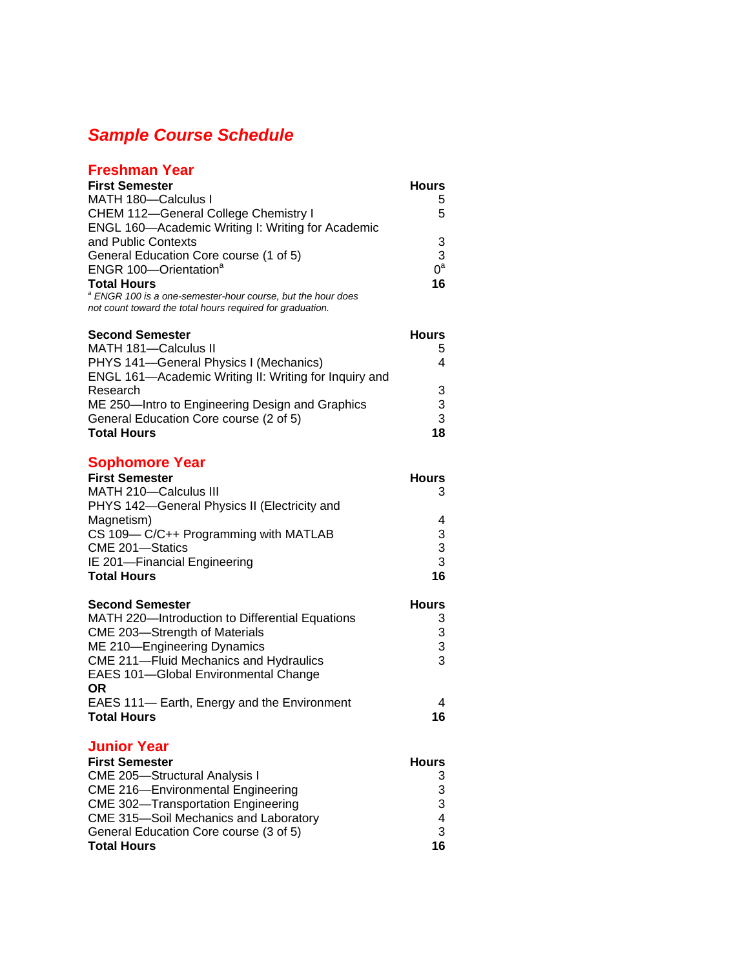## *Sample Course Schedule*

## **Freshman Year First Semester Hours** MATH 180-Calculus I 5 CHEM 112-General College Chemistry I 5 ENGL 160—Academic Writing I: Writing for Academic and Public Contexts 3 General Education Core course (1 of 5) <br>
ENGR 100—Orientation<sup>a</sup> 0<sup>a</sup> ENGR 100-Orientation<sup>a</sup>  $0^a$ **Total Hours <sup>16</sup>** *<sup>a</sup> ENGR 100 is a one-semester-hour course, but the hour does not count toward the total hours required for graduation.*  **Second Semester Hours** MATH 181—Calculus II 5 PHYS 141-General Physics I (Mechanics) ENGL 161—Academic Writing II: Writing for Inquiry and Research 3 ME 250-Intro to Engineering Design and Graphics 3 General Education Core course (2 of 5) 3 **Total Hours 18 Sophomore Year First Semester Hours** MATH 210—Calculus III 3 PHYS 142—General Physics II (Electricity and Magnetism) 4 CS 109— C/C++ Programming with MATLAB 3 CME 201—Statics 3 IE 201—Financial Engineering 3 **Total Hours 16 Second Semester Hours** MATH 220-Introduction to Differential Equations 3 CME 203-Strength of Materials 3 ME 210—Engineering Dynamics 3 CME 211—Fluid Mechanics and Hydraulics 3 EAES 101—Global Environmental Change **OR**  EAES 111— Earth, Energy and the Environment 4 **Total Hours 16 Junior Year First Semester Hours** CME 205—Structural Analysis I 3 CME 216—Environmental Engineering 3 CME 302-Transportation Engineering 3 CME 315—Soil Mechanics and Laboratory 4 General Education Core course (3 of 5) 3

**Total Hours 16**